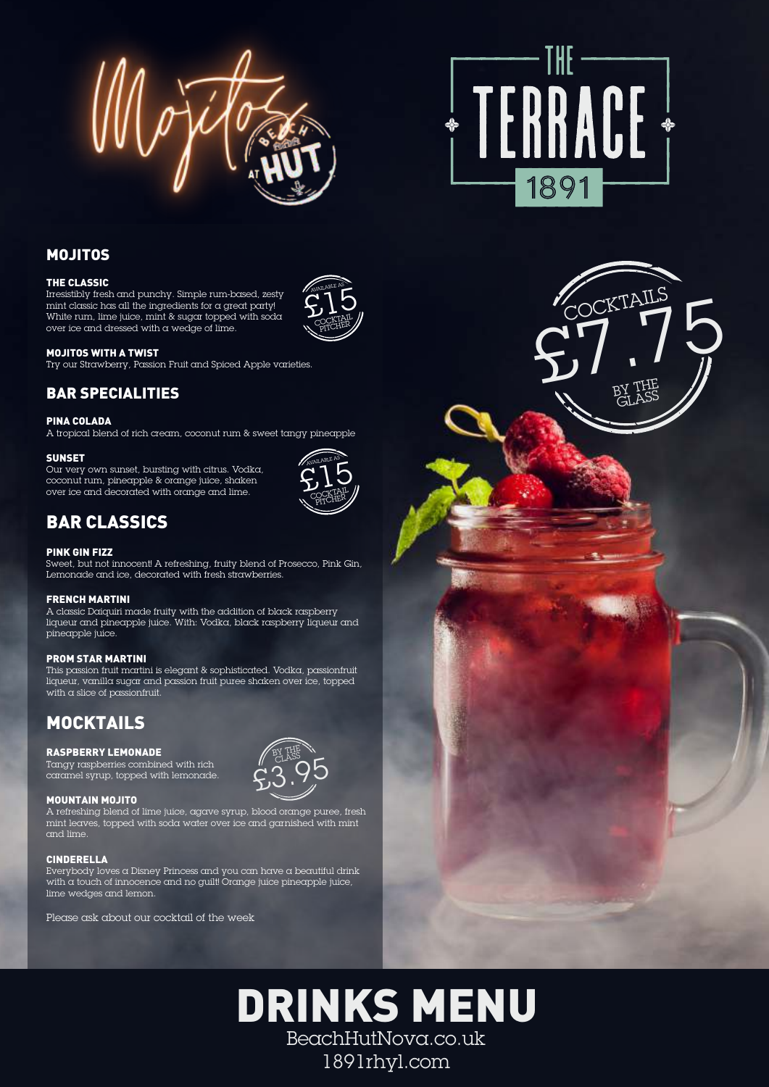

## MOJITOS

## THE CLASSIC

Irresistibly fresh and punchy. Simple rum-based, zesty mint classic has all the ingredients for a great party! White rum, lime juice, mint  $\&$  sugar topped with  $\operatorname{soda}$ over ice and dressed with a wedge of lime.



## MOJITOS WITH A TWIST

Try our Strawberry, Passion Fruit and Spiced Apple varieties.

## BAR SPECIALITIES

## PINA COLADA

A tropical blend of rich cream, coconut rum & sweet tangy pineapple

## **SUNSET**

Our very own sunset, bursting with citrus. Vodka, coconut rum, pineapple & orange juice, shaken over ice and decorated with orange and lime.



BY THE CLASS  $23.95$ 

## BAR CLASSICS

## PINK GIN FIZZ

Sweet, but not innocent! A refreshing, fruity blend of Prosecco, Pink Gin, Lemonade and ice, decorated with fresh strawberries.

## FRENCH MARTINI

A classic Daiquiri made fruity with the addition of black raspberry liqueur and pineapple juice. With: Vodka, black raspberry liqueur and pineapple juice.

## PROM STAR MARTINI

This passion fruit martini is elegant & sophisticated. Vodka, passionfruit liqueur, vanilla sugar and passion fruit puree shaken over ice, topped with a slice of passionfruit.

## MOCKTAILS

## RASPBERRY LEMONADE

Tangy raspberries combined with rich caramel syrup, topped with lemonade.

## MOUNTAIN MOJITO

A refreshing blend of lime juice, agave syrup, blood orange puree, fresh mint leaves, topped with soda water over ice and garnished with mint and lime.

## CINDERELLA

Everybody loves a Disney Princess and you can have a beautiful drink with a touch of innocence and no guilt! Orange juice pineapple juice, lime wedges and lemon.

Please ask about our cocktail of the week

# TERRACE + 1891

BY THE **GLASS**  $\zeta$ <sup>T</sup> **CKTAILS** 





# DRINKS MENU BeachHutNova.co.uk 1891rhyl.com